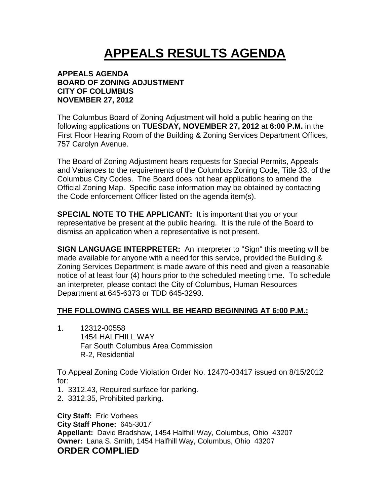# **APPEALS RESULTS AGENDA**

#### **APPEALS AGENDA BOARD OF ZONING ADJUSTMENT CITY OF COLUMBUS NOVEMBER 27, 2012**

The Columbus Board of Zoning Adjustment will hold a public hearing on the following applications on **TUESDAY, NOVEMBER 27, 2012** at **6:00 P.M.** in the First Floor Hearing Room of the Building & Zoning Services Department Offices, 757 Carolyn Avenue.

The Board of Zoning Adjustment hears requests for Special Permits, Appeals and Variances to the requirements of the Columbus Zoning Code, Title 33, of the Columbus City Codes. The Board does not hear applications to amend the Official Zoning Map. Specific case information may be obtained by contacting the Code enforcement Officer listed on the agenda item(s).

**SPECIAL NOTE TO THE APPLICANT:** It is important that you or your representative be present at the public hearing. It is the rule of the Board to dismiss an application when a representative is not present.

**SIGN LANGUAGE INTERPRETER:** An interpreter to "Sign" this meeting will be made available for anyone with a need for this service, provided the Building & Zoning Services Department is made aware of this need and given a reasonable notice of at least four (4) hours prior to the scheduled meeting time. To schedule an interpreter, please contact the City of Columbus, Human Resources Department at 645-6373 or TDD 645-3293.

# **THE FOLLOWING CASES WILL BE HEARD BEGINNING AT 6:00 P.M.:**

1. 12312-00558 1454 HALFHILL WAY Far South Columbus Area Commission R-2, Residential

To Appeal Zoning Code Violation Order No. 12470-03417 issued on 8/15/2012 for:

- 1. 3312.43, Required surface for parking.
- 2. 3312.35, Prohibited parking.

**City Staff:** Eric Vorhees **City Staff Phone:** 645-3017 **Appellant:** David Bradshaw, 1454 Halfhill Way, Columbus, Ohio 43207 **Owner:** Lana S. Smith, 1454 Halfhill Way, Columbus, Ohio 43207 **ORDER COMPLIED**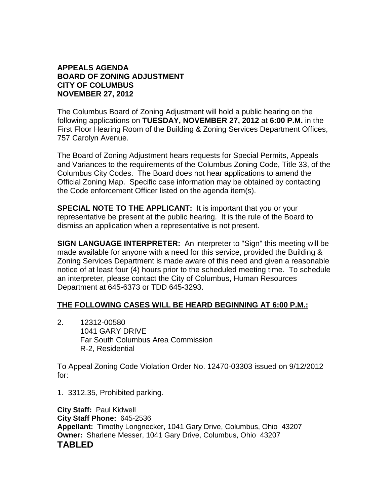### **APPEALS AGENDA BOARD OF ZONING ADJUSTMENT CITY OF COLUMBUS NOVEMBER 27, 2012**

The Columbus Board of Zoning Adjustment will hold a public hearing on the following applications on **TUESDAY, NOVEMBER 27, 2012** at **6:00 P.M.** in the First Floor Hearing Room of the Building & Zoning Services Department Offices, 757 Carolyn Avenue.

The Board of Zoning Adjustment hears requests for Special Permits, Appeals and Variances to the requirements of the Columbus Zoning Code, Title 33, of the Columbus City Codes. The Board does not hear applications to amend the Official Zoning Map. Specific case information may be obtained by contacting the Code enforcement Officer listed on the agenda item(s).

**SPECIAL NOTE TO THE APPLICANT:** It is important that you or your representative be present at the public hearing. It is the rule of the Board to dismiss an application when a representative is not present.

**SIGN LANGUAGE INTERPRETER:** An interpreter to "Sign" this meeting will be made available for anyone with a need for this service, provided the Building & Zoning Services Department is made aware of this need and given a reasonable notice of at least four (4) hours prior to the scheduled meeting time. To schedule an interpreter, please contact the City of Columbus, Human Resources Department at 645-6373 or TDD 645-3293.

# **THE FOLLOWING CASES WILL BE HEARD BEGINNING AT 6:00 P.M.:**

2. 12312-00580 1041 GARY DRIVE Far South Columbus Area Commission R-2, Residential

To Appeal Zoning Code Violation Order No. 12470-03303 issued on 9/12/2012 for:

1. 3312.35, Prohibited parking.

**City Staff:** Paul Kidwell **City Staff Phone:** 645-2536 **Appellant:** Timothy Longnecker, 1041 Gary Drive, Columbus, Ohio 43207 **Owner:** Sharlene Messer, 1041 Gary Drive, Columbus, Ohio 43207 **TABLED**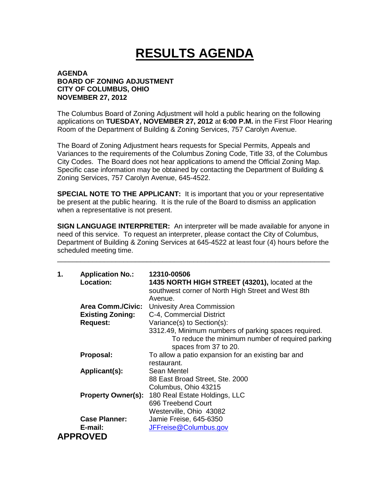# **RESULTS AGENDA**

#### **AGENDA BOARD OF ZONING ADJUSTMENT CITY OF COLUMBUS, OHIO NOVEMBER 27, 2012**

The Columbus Board of Zoning Adjustment will hold a public hearing on the following applications on **TUESDAY, NOVEMBER 27, 2012** at **6:00 P.M.** in the First Floor Hearing Room of the Department of Building & Zoning Services, 757 Carolyn Avenue.

The Board of Zoning Adjustment hears requests for Special Permits, Appeals and Variances to the requirements of the Columbus Zoning Code, Title 33, of the Columbus City Codes. The Board does not hear applications to amend the Official Zoning Map. Specific case information may be obtained by contacting the Department of Building & Zoning Services, 757 Carolyn Avenue, 645-4522.

**SPECIAL NOTE TO THE APPLICANT:** It is important that you or your representative be present at the public hearing. It is the rule of the Board to dismiss an application when a representative is not present.

**SIGN LANGUAGE INTERPRETER:** An interpreter will be made available for anyone in need of this service. To request an interpreter, please contact the City of Columbus, Department of Building & Zoning Services at 645-4522 at least four (4) hours before the scheduled meeting time.

\_\_\_\_\_\_\_\_\_\_\_\_\_\_\_\_\_\_\_\_\_\_\_\_\_\_\_\_\_\_\_\_\_\_\_\_\_\_\_\_\_\_\_\_\_\_\_\_\_\_\_\_\_\_\_\_\_\_\_\_\_\_\_\_\_\_\_\_\_\_

| 1. | <b>Application No.:</b><br>Location: | 12310-00506<br>1435 NORTH HIGH STREET (43201), located at the<br>southwest corner of North High Street and West 8th<br>Avenue.    |
|----|--------------------------------------|-----------------------------------------------------------------------------------------------------------------------------------|
|    | Area Comm./Civic:                    | Univesity Area Commission                                                                                                         |
|    | <b>Existing Zoning:</b>              | C-4, Commercial District                                                                                                          |
|    | <b>Request:</b>                      | Variance(s) to Section(s):                                                                                                        |
|    |                                      | 3312.49, Minimum numbers of parking spaces required.<br>To reduce the minimum number of required parking<br>spaces from 37 to 20. |
|    | Proposal:                            | To allow a patio expansion for an existing bar and<br>restaurant.                                                                 |
|    | Applicant(s):                        | Sean Mentel                                                                                                                       |
|    |                                      | 88 East Broad Street, Ste. 2000                                                                                                   |
|    |                                      | Columbus, Ohio 43215                                                                                                              |
|    | <b>Property Owner(s):</b>            | 180 Real Estate Holdings, LLC                                                                                                     |
|    |                                      | 696 Treebend Court                                                                                                                |
|    |                                      | Westerville, Ohio 43082                                                                                                           |
|    | <b>Case Planner:</b>                 | Jamie Freise, 645-6350                                                                                                            |
|    | E-mail:                              | JFFreise@Columbus.gov                                                                                                             |
|    | <b>APPROVED</b>                      |                                                                                                                                   |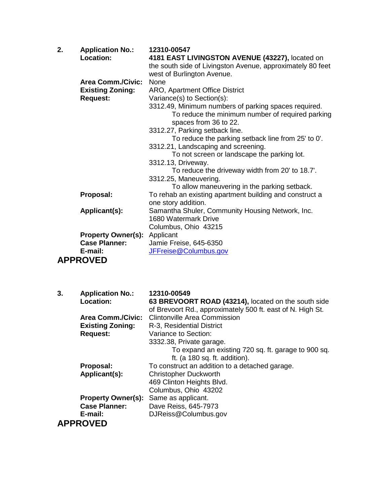| 2. | <b>Application No.:</b>             | 12310-00547                                                               |
|----|-------------------------------------|---------------------------------------------------------------------------|
|    | Location:                           | 4181 EAST LIVINGSTON AVENUE (43227), located on                           |
|    |                                     | the south side of Livingston Avenue, approximately 80 feet                |
|    |                                     | west of Burlington Avenue.                                                |
|    | <b>Area Comm./Civic:</b>            | None                                                                      |
|    | <b>Existing Zoning:</b>             | ARO, Apartment Office District                                            |
|    | <b>Request:</b>                     | Variance(s) to Section(s):                                                |
|    |                                     | 3312.49, Minimum numbers of parking spaces required.                      |
|    |                                     | To reduce the minimum number of required parking<br>spaces from 36 to 22. |
|    |                                     | 3312.27, Parking setback line.                                            |
|    |                                     | To reduce the parking setback line from 25' to 0'.                        |
|    |                                     | 3312.21, Landscaping and screening.                                       |
|    |                                     | To not screen or landscape the parking lot.                               |
|    |                                     | 3312.13, Driveway.                                                        |
|    |                                     | To reduce the driveway width from 20' to 18.7'.                           |
|    |                                     | 3312.25, Maneuvering.                                                     |
|    |                                     | To allow maneuvering in the parking setback.                              |
|    | Proposal:                           | To rehab an existing apartment building and construct a                   |
|    |                                     | one story addition.                                                       |
|    | Applicant(s):                       | Samantha Shuler, Community Housing Network, Inc.                          |
|    |                                     | 1680 Watermark Drive                                                      |
|    |                                     | Columbus, Ohio 43215                                                      |
|    | <b>Property Owner(s): Applicant</b> |                                                                           |
|    | <b>Case Planner:</b>                | Jamie Freise, 645-6350                                                    |
|    | E-mail:                             | JFFreise@Columbus.gov                                                     |
|    | <b>APPROVED</b>                     |                                                                           |
|    |                                     |                                                                           |

| 3. | <b>Application No.:</b><br>Location: | 12310-00549<br>63 BREVOORT ROAD (43214), located on the south side<br>of Brevoort Rd., approximately 500 ft. east of N. High St. |
|----|--------------------------------------|----------------------------------------------------------------------------------------------------------------------------------|
|    | <b>Area Comm./Civic:</b>             | Clintonville Area Commission                                                                                                     |
|    | <b>Existing Zoning:</b>              | R-3, Residential District                                                                                                        |
|    | <b>Request:</b>                      | Variance to Section:                                                                                                             |
|    |                                      | 3332.38, Private garage.                                                                                                         |
|    |                                      | To expand an existing 720 sq. ft. garage to 900 sq.                                                                              |
|    |                                      | ft. (a 180 sq. ft. addition).                                                                                                    |
|    | Proposal:                            | To construct an addition to a detached garage.                                                                                   |
|    | Applicant(s):                        | <b>Christopher Duckworth</b>                                                                                                     |
|    |                                      | 469 Clinton Heights Blvd.                                                                                                        |
|    |                                      | Columbus, Ohio 43202                                                                                                             |
|    | <b>Property Owner(s):</b>            | Same as applicant.                                                                                                               |
|    | <b>Case Planner:</b>                 | Dave Reiss, 645-7973                                                                                                             |
|    | E-mail:                              | DJReiss@Columbus.gov                                                                                                             |
|    | <b>APPROVED</b>                      |                                                                                                                                  |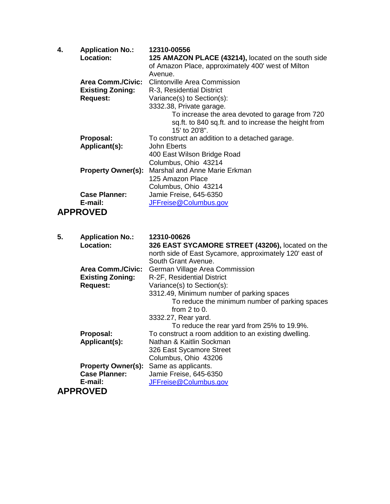| 4. | <b>Application No.:</b><br>Location:                                   | 12310-00556<br>125 AMAZON PLACE (43214), located on the south side<br>of Amazon Place, approximately 400' west of Milton<br>Avenue.                  |
|----|------------------------------------------------------------------------|------------------------------------------------------------------------------------------------------------------------------------------------------|
|    | <b>Area Comm./Civic:</b><br><b>Existing Zoning:</b><br><b>Request:</b> | <b>Clintonville Area Commission</b><br>R-3, Residential District<br>Variance(s) to Section(s):                                                       |
|    |                                                                        | 3332.38, Private garage.<br>To increase the area devoted to garage from 720<br>sq.ft. to 840 sq.ft. and to increase the height from<br>15' to 20'8". |
|    | Proposal:                                                              | To construct an addition to a detached garage.                                                                                                       |
|    | Applicant(s):                                                          | John Eberts                                                                                                                                          |
|    |                                                                        | 400 East Wilson Bridge Road                                                                                                                          |
|    |                                                                        | Columbus, Ohio 43214                                                                                                                                 |
|    | <b>Property Owner(s):</b>                                              | Marshal and Anne Marie Erkman                                                                                                                        |
|    |                                                                        | 125 Amazon Place                                                                                                                                     |
|    |                                                                        | Columbus, Ohio 43214                                                                                                                                 |
|    | <b>Case Planner:</b>                                                   | Jamie Freise, 645-6350                                                                                                                               |
|    | E-mail:                                                                | JFFreise@Columbus.gov                                                                                                                                |
|    | <b>APPROVED</b>                                                        |                                                                                                                                                      |
| 5. | <b>Application No.:</b>                                                | 12310-00626                                                                                                                                          |
|    | <b>Location:</b>                                                       | 326 EAST SYCAMORE STREET (43206), located on the<br>north side of East Sycamore, approximately 120' east of<br>South Grant Avenue.                   |
|    | <b>Area Comm./Civic:</b>                                               | German Village Area Commission                                                                                                                       |

| ATURA UUTIIIIIII UITIU. | Comman village / liva Commissio |
|-------------------------|---------------------------------|
| <b>Existing Zoning:</b> | R-2F, Residential District      |
| <b>Request:</b>         | Variance(s) to Section(s):      |

|               | 3312.49, Minimum number of parking spaces             |
|---------------|-------------------------------------------------------|
|               | To reduce the minimum number of parking spaces        |
|               | from $2$ to $0$ .                                     |
|               | 3332.27, Rear yard.                                   |
|               | To reduce the rear yard from 25% to 19.9%.            |
| Proposal:     | To construct a room addition to an existing dwelling. |
| Applicant(s): | Nathan & Kaitlin Sockman                              |
|               | 326 East Sycamore Street                              |
|               | Columbus, Ohio 43206                                  |

|                      | 500                                           |
|----------------------|-----------------------------------------------|
|                      | <b>Property Owner(s):</b> Same as applicants. |
| <b>Case Planner:</b> | Jamie Freise, 645-6350                        |
| E-mail:              | JFFreise@Columbus.gov                         |
| <b>APPROVED</b>      |                                               |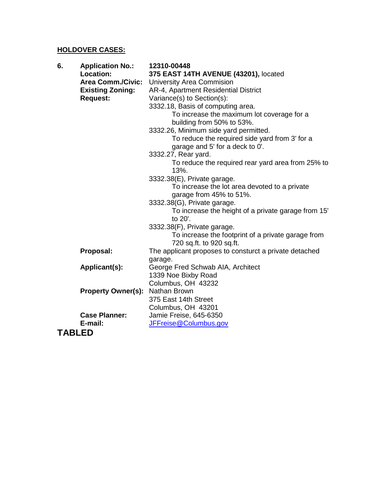### **HOLDOVER CASES:**

| 6.<br><b>Application No.:</b> | 12310-00448                                            |
|-------------------------------|--------------------------------------------------------|
| <b>Location:</b>              | 375 EAST 14TH AVENUE (43201), located                  |
| <b>Area Comm./Civic:</b>      | <b>University Area Commision</b>                       |
| <b>Existing Zoning:</b>       | AR-4, Apartment Residential District                   |
| <b>Request:</b>               | Variance(s) to Section(s):                             |
|                               | 3332.18, Basis of computing area.                      |
|                               | To increase the maximum lot coverage for a             |
|                               | building from 50% to 53%.                              |
|                               | 3332.26, Minimum side yard permitted.                  |
|                               | To reduce the required side yard from 3' for a         |
|                               | garage and 5' for a deck to 0'.                        |
|                               | 3332.27, Rear yard.                                    |
|                               | To reduce the required rear yard area from 25% to      |
|                               | 13%.                                                   |
|                               | 3332.38(E), Private garage.                            |
|                               | To increase the lot area devoted to a private          |
|                               | garage from 45% to 51%.                                |
|                               | 3332.38(G), Private garage.                            |
|                               | To increase the height of a private garage from 15'    |
|                               | to 20'.                                                |
|                               | 3332.38(F), Private garage.                            |
|                               | To increase the footprint of a private garage from     |
|                               | 720 sq.ft. to 920 sq.ft.                               |
| Proposal:                     | The applicant proposes to consturct a private detached |
|                               | garage.                                                |
| Applicant(s):                 | George Fred Schwab AIA, Architect                      |
|                               | 1339 Noe Bixby Road                                    |
|                               | Columbus, OH 43232                                     |
| <b>Property Owner(s):</b>     | Nathan Brown                                           |
|                               | 375 East 14th Street                                   |
|                               | Columbus, OH 43201                                     |
| <b>Case Planner:</b>          | Jamie Freise, 645-6350                                 |
| E-mail:                       | JFFreise@Columbus.gov                                  |
| <b>TABLED</b>                 |                                                        |